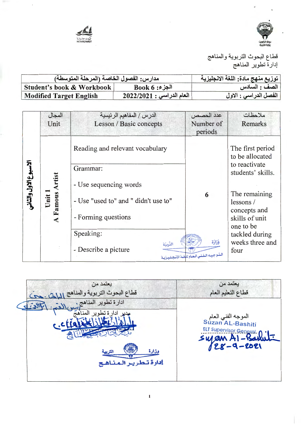



| مدارس: الفصول الخاصة (المرحلة المتوسطة) |                                | توزيع منهج مادة: اللغة الانجليزية |
|-----------------------------------------|--------------------------------|-----------------------------------|
| Student's book & Workbook               | $Book 6 : 3$ الجز              | الصف : السادس                     |
| <b>Modified Target English</b>          | $12022/2021:$ إ المعام الدراسي | الفصل الدراسي : الاول             |

|                      | المجال               | الدرس/ المفاهيم الرئيسية             | عدد الحصص                                                   | ملاحظات                                     |
|----------------------|----------------------|--------------------------------------|-------------------------------------------------------------|---------------------------------------------|
|                      | Unit                 | Lesson / Basic concepts              | Number of<br>periods                                        | Remarks                                     |
|                      |                      | Reading and relevant vocabulary      |                                                             | The first period<br>to be allocated         |
|                      |                      | Grammar:                             |                                                             | to reactivate<br>students' skills.          |
|                      | rtist                | - Use sequencing words               |                                                             |                                             |
| لاسبوع الاول والثاني | Famous A<br>Unit     | - Use "used to" and " didn't use to" | 6                                                           | The remaining<br>lessons/                   |
|                      | $\blacktriangleleft$ | - Forming questions                  |                                                             | concepts and<br>skills of unit<br>one to be |
|                      |                      | Speaking:                            |                                                             | tackled during                              |
|                      |                      | - Describe a picture                 | وَزَارَة<br>التربيّة<br>التوجيه الفني العام للغة الإنجليزية | weeks three and<br>four                     |

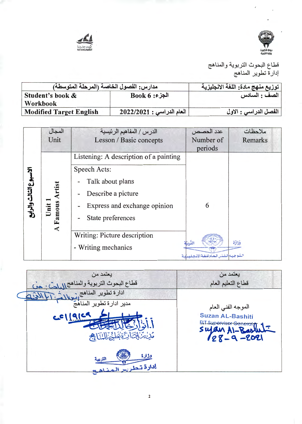



| مدارس: الفصول الخاصة (المرحلة المتوسطة) |                           | توزيع منهج مادة: اللغة الانجليزية |
|-----------------------------------------|---------------------------|-----------------------------------|
| Student's book &                        | $Book 6:$ الجزء           | الصف : السادس                     |
| Workbook                                |                           |                                   |
| <b>Modified Target English</b>          | العام الدراسي : 2022/2021 | الفصل الدراسي : الاول             |

|                   | المجال               | الدرس / المفاهيم الرئيسية              | عدد الحصص                              | ملاحظات  |
|-------------------|----------------------|----------------------------------------|----------------------------------------|----------|
|                   | Unit                 | Lesson / Basic concepts                | Number of                              | Remarks  |
|                   |                      |                                        | periods                                |          |
|                   |                      | Listening: A description of a painting |                                        |          |
|                   |                      | Speech Acts:                           |                                        |          |
|                   |                      | Talk about plans                       |                                        |          |
| وع الشالث والرابع |                      | Describe a picture                     |                                        |          |
|                   | $J$ nit              | Express and exchange opinion           | 6                                      |          |
|                   | Famous               | State preferences                      |                                        |          |
|                   | $\blacktriangleleft$ | Writing: Picture description           |                                        |          |
|                   |                      | - Writing mechanics                    | التربتة                                | وَزَارَة |
|                   |                      |                                        | المعوجيهه المفشس العام للغبة الانتصليس |          |

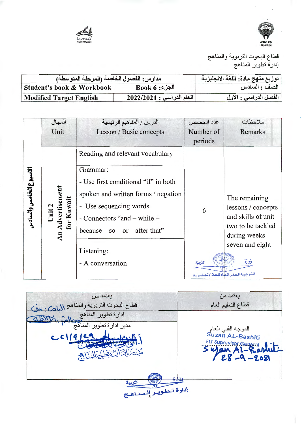



| مدارس: الفصول الخاصة (المرحلة المتوسطة) |                           | توزيع منهج مادة: اللغة الانجليزية |
|-----------------------------------------|---------------------------|-----------------------------------|
| Student's book & Workbook               | $Book 6:$ الجزء           | الصف : السادس                     |
| <b>Modified Target English</b>          | العام الدراسي : 2022/2021 | الفصل الدراسي : الاول             |

|                       | المجال                    | الدرس / المفاهيم الرئيسية             | عدد الحصص | ملاحظات                                           |
|-----------------------|---------------------------|---------------------------------------|-----------|---------------------------------------------------|
|                       | Unit                      | Lesson / Basic concepts               | Number of | Remarks                                           |
|                       |                           |                                       | periods   |                                                   |
|                       |                           | Reading and relevant vocabulary       |           |                                                   |
|                       |                           | Grammar:                              |           |                                                   |
| لاسبوع الخامس والسادس |                           | - Use first conditional "if" in both  |           |                                                   |
|                       | Unit 2<br>1 Advertisement | spoken and written forms / negation   |           | The remaining                                     |
|                       |                           | - Use sequencing words                | 6         | lessons / concepts                                |
|                       | for Kuwai                 | - Connectors "and $-$ while $-$       |           | and skills of unit                                |
|                       | An                        | because $-$ so $-$ or $-$ after that" |           | two to be tackled<br>during weeks                 |
|                       |                           |                                       |           | seven and eight                                   |
|                       |                           | Listening:                            |           |                                                   |
|                       |                           | - A conversation                      | التربيّة  | وَزَارَة                                          |
|                       |                           |                                       |           | البتيو جيبه التفتني التعلام للتغثة الإنتجيلييزيية |

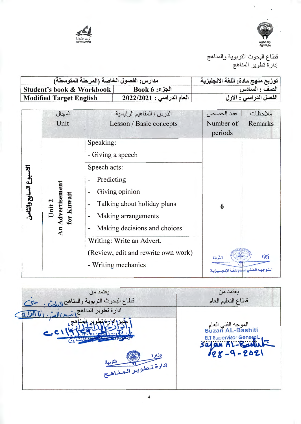



| مدارس: الفصول الخاصة (المرحلة المتوسطة) |                           | توزيع منهج مادة: اللغة الانجليزية |
|-----------------------------------------|---------------------------|-----------------------------------|
| Student's book & Workbook               | $Book 6: 3$ الجزء         | الصف : السادس                     |
| Modified Target English                 | العام الدراسي : 2022/2021 | الفصل الدراسي : الاول             |

|                       | المجال                      | الدرس / المفاهيم الرئيسية                      | عدد الحصص                                      | ملاحظات |
|-----------------------|-----------------------------|------------------------------------------------|------------------------------------------------|---------|
|                       | Unit                        | Lesson / Basic concepts                        | Number of                                      | Remarks |
|                       |                             |                                                | periods                                        |         |
|                       |                             | Speaking:                                      |                                                |         |
|                       |                             | - Giving a speech                              |                                                |         |
|                       |                             | Speech acts:                                   |                                                |         |
| لاسبوع السابع والثامن |                             | Predicting<br>-                                |                                                |         |
|                       | Advertisement<br>for Kuwait | Giving opinion                                 |                                                |         |
|                       | Unit 2                      | Talking about holiday plans<br>-               | 6                                              |         |
|                       |                             | Making arrangements                            |                                                |         |
|                       | $\overline{AB}$             | Making decisions and choices<br>$\blacksquare$ |                                                |         |
|                       |                             | Writing: Write an Advert.                      |                                                |         |
|                       |                             | (Review, edit and rewrite own work)            | التربيّة                                       | قذارَة  |
|                       |                             | - Writing mechanics                            | التقوجيسه التفتني التهنام للتفتة الإنتصليت بية |         |
|                       |                             |                                                |                                                |         |

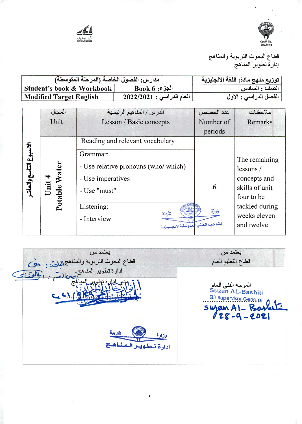



| مدارس: الفصول الخاصة (المرحلة المتوسطة) |                             | توزيع منهج مادة: اللغة الانجليزية |
|-----------------------------------------|-----------------------------|-----------------------------------|
| Student's book & Workbook               | $Book 6 : 3$ الجز           | الصف : السادس                     |
| <b>Modified Target English</b>          | $12022/2021:$ العام الدراسي | الفصل الدراسي : الاول             |

|                          | المجال                   | الدرس / المفاهيم الرئيسية                                                                                                                                                    | عدد الحصص     | ملاحظات                                                                                                                   |
|--------------------------|--------------------------|------------------------------------------------------------------------------------------------------------------------------------------------------------------------------|---------------|---------------------------------------------------------------------------------------------------------------------------|
|                          | Unit                     | Lesson / Basic concepts                                                                                                                                                      | Number of     | Remarks                                                                                                                   |
|                          |                          |                                                                                                                                                                              | periods       |                                                                                                                           |
|                          |                          | Reading and relevant vocabulary                                                                                                                                              |               |                                                                                                                           |
| স্ব<br>وع التاسع والعاشه | Water<br>Unit<br>Potable | Grammar:<br>- Use relative pronouns (who/ which)<br>- Use imperatives<br>- Use "must"<br>Listening:<br>الترييّة<br>- Interview<br>البتوجيبه الفني المعام للغية الإنجيلييزيية | 6<br>وَزَارَة | The remaining<br>lessons/<br>concepts and<br>skills of unit<br>four to be<br>tackled during<br>weeks eleven<br>and twelve |

| يعتمد من<br>قطاع البحوث التربوية والمناهج اللهثين.<br>as | يعتمد من<br>قطاع التعليم العام                                                                |
|----------------------------------------------------------|-----------------------------------------------------------------------------------------------|
| ادارة تطوير المناهج                                      | الموجه الفني العام<br>Suzan AL-Bashiti<br><b>ELT Supervisor General</b><br>$S$ ujan AI - Bask |
| وذارة<br>إدارة تبطويير البهشاهيج                         |                                                                                               |